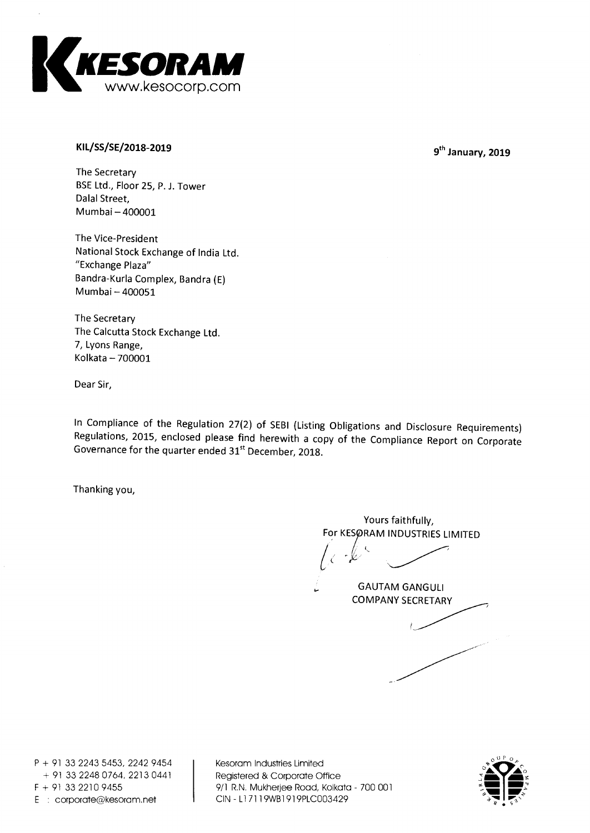

## **KILAS/SE/2018-2019**

9<sup>th</sup> January, 2019

**The Secretary BSE Ltd., Floor 25, P. J. Tower Dalai Street, Munnbai — 400001** 

**The Vice-President National Stock Exchange of India Ltd. "Exchange Plaza" Bandra-Kurla Complex, Bandra (E) Mumbai — 400051** 

**The Secretary The Calcutta Stock Exchange Ltd. 7, Lyons Range, Kolkata — 700001** 

**Dear Sir,** 

**In Compliance of the Regulation 27(2) of SEBI (Listing Obligations and Disclosure Requirements) Regulations, 2015, enclosed please find herewith a copy of the Compliance Report on Corporate Governance for the quarter ended 31st December, 2018.** 

**Thanking you,** 

**Yours faithfully, For KESØRAM INDUSTRIES LIMITED** 

**GAUTAM GANGULI COMPANY SECRETARY** 

**P + 91 33 2243 5453, 2242 9454 + 91 33 2248 0764, 2213 0441 F + 91 33 2210 9455 E corporate@kesoram.net** 

**Kesoram Industries Limited Registered & Corporate Office 9/1 R.N. Mukherjee Road, Kolkata - 700 001 CIN - Ll 7119WB1919PLC003429** 

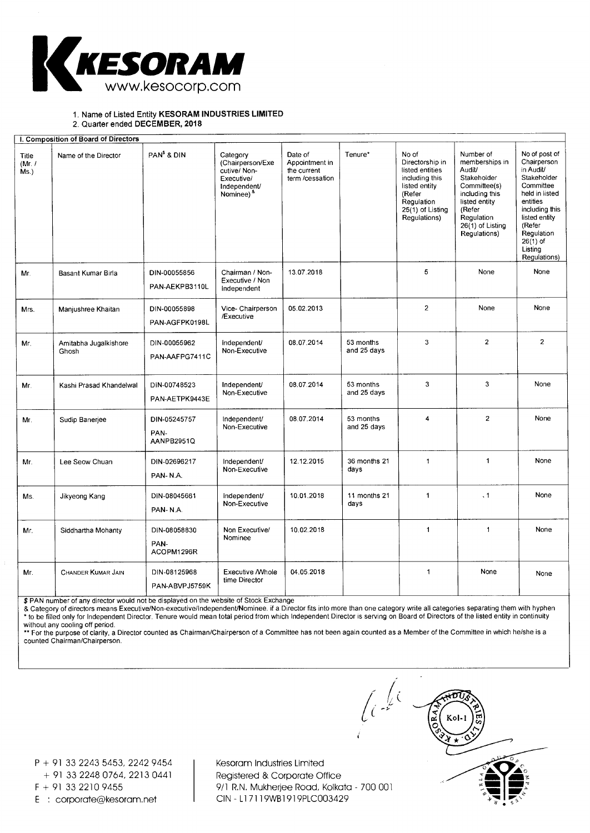

1. Name of Listed Entity **KESORAM INDUSTRIES LIMITED** 

2. Quarter ended **DECEMBER, 2018** 

| I. Composition of Board of Directors |                                |                                    |                                                                                                        |                                                             |                          |                                                                                                                                            |                                                                                                                                                                     |                                                                                                                                                                                                         |
|--------------------------------------|--------------------------------|------------------------------------|--------------------------------------------------------------------------------------------------------|-------------------------------------------------------------|--------------------------|--------------------------------------------------------------------------------------------------------------------------------------------|---------------------------------------------------------------------------------------------------------------------------------------------------------------------|---------------------------------------------------------------------------------------------------------------------------------------------------------------------------------------------------------|
| Title<br>(Mr. I)<br>Ms.)             | Name of the Director           | PAN <sup>\$</sup> & DIN            | Category<br>(Chairperson/Exe<br>cutive/Non-<br>Executive/<br>Independent/<br>Nominee) <sup>&amp;</sup> | Date of<br>Appointment in<br>the current<br>term /cessation | Tenure*                  | No of<br>Directorship in<br>listed entities<br>including this<br>listed entity<br>(Refer<br>Regulation<br>25(1) of Listing<br>Regulations) | Number of<br>memberships in<br>Audit/<br>Stakeholder<br>Committee(s)<br>including this<br>listed entity<br>(Refer<br>Regulation<br>26(1) of Listing<br>Regulations) | No of post of<br>Chairperson<br>in Audit/<br>Stakeholder<br>Committee<br>held in listed<br>entities<br>including this<br>listed entity<br>(Refer<br>Regulation<br>$26(1)$ of<br>Listing<br>Regulations) |
| Mr.                                  | Basant Kumar Birla             | DIN-00055856<br>PAN-AEKPB3110L     | Chairman / Non-<br>Executive / Non<br>Independent                                                      | 13.07.2018                                                  |                          | 5                                                                                                                                          | None                                                                                                                                                                | None                                                                                                                                                                                                    |
| Mrs.                                 | Manjushree Khaitan             | DIN-00055898<br>PAN-AGFPK0198L     | Vice- Chairperson<br>/Executive                                                                        | 05.02.2013                                                  |                          | $\overline{2}$                                                                                                                             | None                                                                                                                                                                | None                                                                                                                                                                                                    |
| Mr.                                  | Amitabha Jugalkishore<br>Ghosh | DIN-00055962<br>PAN-AAFPG7411C     | independent/<br>Non-Executive                                                                          | 08.07.2014                                                  | 53 months<br>and 25 days | 3                                                                                                                                          | $\overline{a}$                                                                                                                                                      | $\overline{2}$                                                                                                                                                                                          |
| Mr.                                  | Kashi Prasad Khandelwal        | DIN-00748523<br>PAN-AETPK9443E     | Independent/<br>Non-Executive                                                                          | 08.07.2014                                                  | 53 months<br>and 25 days | 3                                                                                                                                          | 3                                                                                                                                                                   | None                                                                                                                                                                                                    |
| Mr.                                  | Sudip Banerjee                 | DIN-05245757<br>PAN-<br>AANPB2951Q | Independent/<br>Non-Executive                                                                          | 08.07.2014                                                  | 53 months<br>and 25 days | 4                                                                                                                                          | $\overline{2}$                                                                                                                                                      | None                                                                                                                                                                                                    |
| Mr.                                  | Lee Seow Chuan                 | DIN-02696217<br>PAN-N.A.           | Independent/<br>Non-Executive                                                                          | 12.12.2015                                                  | 36 months 21<br>days     | $\mathbf{1}$                                                                                                                               | $\mathbf{1}$                                                                                                                                                        | None                                                                                                                                                                                                    |
| Ms.                                  | Jikyeong Kang                  | DIN-08045661<br>PAN-N.A.           | independent/<br>Non-Executive                                                                          | 10.01.2018                                                  | 11 months 21<br>days     | $\mathbf{1}$                                                                                                                               | $\ddot{\phantom{0}}$                                                                                                                                                | None                                                                                                                                                                                                    |
| Mr.                                  | Siddhartha Mohanty             | DIN-08058830<br>PAN-<br>ACOPM1296R | Non Executive/<br>Nominee                                                                              | 10.02.2018                                                  |                          | $\mathbf{1}$                                                                                                                               | $\mathbf{1}$                                                                                                                                                        | None                                                                                                                                                                                                    |
| Mr.                                  | <b>CHANDER KUMAR JAIN</b>      | DIN-08125968<br>PAN-ABVPJ5759K     | <b>Executive / Whole</b><br>time Director                                                              | 04.05.2018                                                  |                          | 1                                                                                                                                          | None                                                                                                                                                                | None                                                                                                                                                                                                    |

\$ PAN number of any director would not be displayed on the website of Stock Exchange

& Category of directors means Executive/Non-executive/Independent/Nominee. if a Director fits into more than one category write all categories separating them with hyphen \* to be filled only for Independent Director. Tenure would mean total period from which Independent Director is serving on Board of Directors of the listed entity in continuity

without any cooling off period.<br>\*\* For the purpose of clarity, a Director counted as Chairman/Chairperson of a Committee has not been again counted as a Member of the Committee in which he/she is a counted Chairman/Chairperson.

P + 91 33 2243 5453, 2242 9454 + 91 33 2248 0764, 2213 0441

E : corporate@kesoram.net

Kesoram Industries Limited Registered & Corporate Office F + 91 33 2210 9455 9/1 R.N. Mukherjee Road, Kolkata - 700 001<br>F : corporate@kesoram.net CIN - L17119WB1919PLC003429

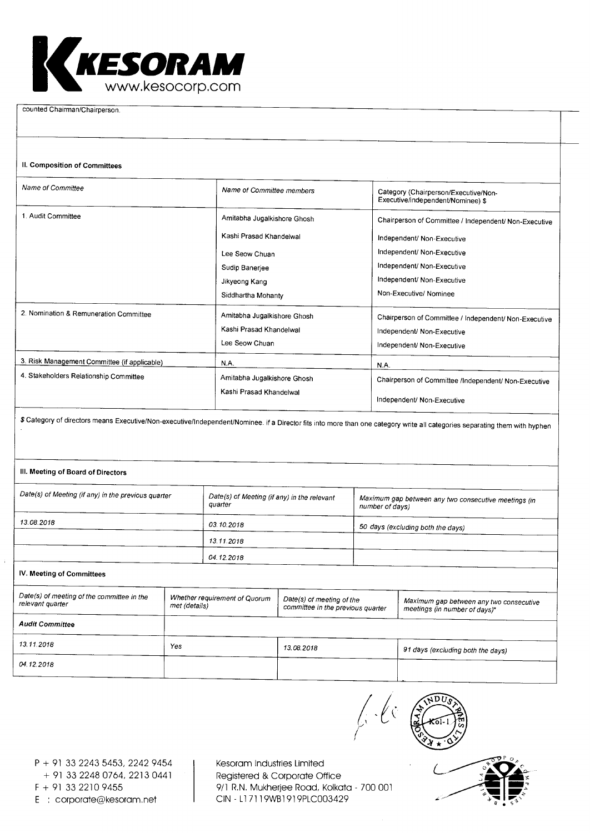

counted Chairman/Chairperson.

## II. Composition of Committees

| Name of Committee                                                                      | Name of Committee members                                                                                                         | Category (Chairperson/Executive/Non-<br>Executive/independent/Nominee) \$                                                                                                                               |
|----------------------------------------------------------------------------------------|-----------------------------------------------------------------------------------------------------------------------------------|---------------------------------------------------------------------------------------------------------------------------------------------------------------------------------------------------------|
| 1. Audit Committee                                                                     | Amitabha Jugalkishore Ghosh<br>Kashi Prasad Khandelwal<br>Lee Seow Chuan<br>Sudip Banerjee<br>Jikyeong Kang<br>Siddhartha Mohanty | Chairperson of Committee / Independent/ Non-Executive<br>Independent/ Non-Executive<br>Independent/ Non-Executive<br>Independent/ Non-Executive<br>Independent/ Non-Executive<br>Non-Executive/ Nominee |
| 2. Nomination & Remuneration Committee                                                 | Amitabha Jugalkishore Ghosh<br>Kashi Prasad Khandelwal<br>Lee Seow Chuan                                                          | Chairperson of Committee / Independent/ Non-Executive<br>Independent/ Non-Executive<br>Independent/ Non-Executive                                                                                       |
| 3. Risk Management Committee (if applicable)<br>4. Stakeholders Relationship Committee | <b>N.A.</b><br>Amitabha Jugalkishore Ghosh<br>Kashi Prasad Khandelwal                                                             | N.A.<br>Chairperson of Committee /Independent/ Non-Executive<br>Independent/ Non-Executive                                                                                                              |

\$ Category of directors means Executive/Non-executive/Independent/Nominee. if a Director fits into more than one category write all categories separating them with hyphen

## III. Meeting of Board of Directors

| Date(s) of Meeting (if any) in the previous quarter            | quarter                                        | Date(s) of Meeting (if any) in the relevant                    |  | Maximum gap between any two consecutive meetings (in<br>number of days)  |  |  |
|----------------------------------------------------------------|------------------------------------------------|----------------------------------------------------------------|--|--------------------------------------------------------------------------|--|--|
| 13.08.2018                                                     | 03.10.2018                                     |                                                                |  | 50 days (excluding both the days)                                        |  |  |
|                                                                | 13.11.2018                                     |                                                                |  |                                                                          |  |  |
| 04.12.2018                                                     |                                                |                                                                |  |                                                                          |  |  |
| IV. Meeting of Committees                                      |                                                |                                                                |  |                                                                          |  |  |
| Date(s) of meeting of the committee in the<br>relevant quarter | Whether requirement of Quorum<br>met (details) | Date(s) of meeting of the<br>committee in the previous quarter |  | Maximum gap between any two consecutive<br>meetings (in number of days)* |  |  |
| <b>Audit Committee</b>                                         |                                                |                                                                |  |                                                                          |  |  |

| 13.11.2018 | Yes | 13.08.2018 | 91 days (excluding both the days) |  |
|------------|-----|------------|-----------------------------------|--|
| 04.12.2018 |     |            |                                   |  |
|            |     |            |                                   |  |

<sup>P</sup>+ 91 33 2243 5453, 2242 9454 + 91 33 2248 0764, 2213 0441

700 001 F + 91 33 2210 9455 9/1 R.N. Mukherjee Road, Kolkata Kesoram Industries Limited Registered & Corporate Office E : corporate@kesoram.net CIN - Ll 7119WB1919PLC003429

 $\int_{S^1}$  .  $\int_{S^2}$